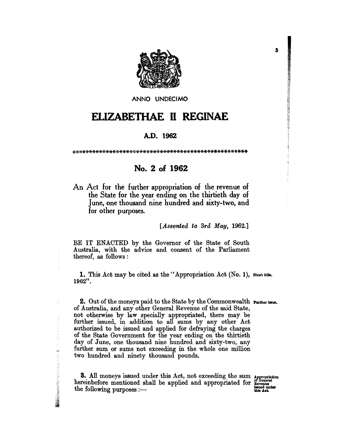

ANNO UNDECIMO

## ELIZABETHAE II REGINAE

## A.D. 1962

## No. 2 of 1962

An Act for the further appropriation of the revenue of<br>the State for the year ending on the thirtieth day of<br>June, one thousand nine hundred and sixty-two, and for other purposes.

[Assented to 3rd May, 1962.]

BE IT ENACTED by the Governor of the State of South Australia, with the advice and consent of the Parliament thereof, as follows:

1. This Act may be cited as the "Appropriation Act (No. 1), Short title. 1962".

2. Out of the moneys paid to the State by the Commonwealth rurther issue.<br>of Australia, and any other General Revenue of the said State,<br>not otherwise by law specially appropriated, there may be<br>further issued, in addition further sum or sums not exceeding in the whole one million two hundred and ninety thousand pounds.

3. All moneys issued under this Act, not exceeding the sum Appropriation hereinbefore mentioned shall be applied and appropriated for Evenue the following purposes  $:$   $-$